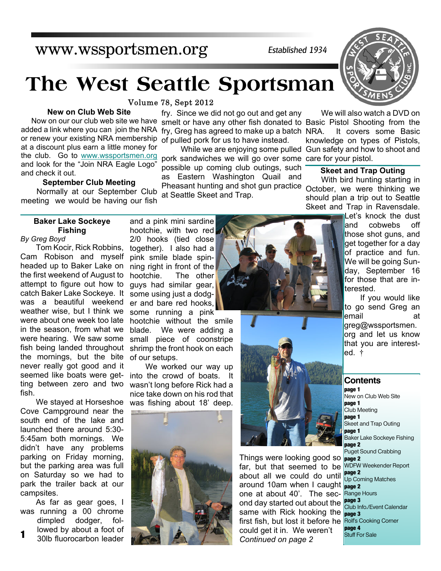## www.wssportsmen.org

*Established 1934*

# **The West Seattle Sportsman**

fry. Since we did not go out and get any

possible up coming club outings, such as Eastern Washington Quail and Pheasant hunting and shot gun practice

Volume 78, Sept 2012

Now on our our club web site we have smelt or have any other fish donated to Basic Pistol Shooting from the added a link where you can join the NRA fry, Greg has agreed to make up a batch or renew your existing NRA membership of pulled pork for us to have instead. **New on Club Web Site** at a discount plus earn a little money for the club. Go to [www.wssportsmen.org](http://www.wssportsmen.org) and look for the "Join NRA Eagle Logo" and check it out.

## **September Club Meeting**

Normally at our September Club at Seattle Skeet and Trap. meeting we would be having our fish

## **Baker Lake Sockeye Fishing**

*By Greg Boyd*

Tom Kocir, Rick Robbins, Cam Robison and myself headed up to Baker Lake on the first weekend of August to attempt to figure out how to catch Baker Lake Sockeye. It was a beautiful weekend weather wise, but I think we were about one week too late in the season, from what we were hearing. We saw some fish being landed throughout the mornings, but the bite never really got good and it seemed like boats were getting between zero and two fish.

We stayed at Horseshoe Cove Campground near the south end of the lake and launched there around 5:30- 5:45am both mornings. We didn't have any problems parking on Friday morning, but the parking area was full on Saturday so we had to park the trailer back at our campsites.

**1** As far as gear goes, I was running a 00 chrome dimpled dodger, followed by about a foot of

30lb fluorocarbon leader

and a pink mini sardine hootchie, with two red 2/0 hooks (tied close together). I also had a pink smile blade spinning right in front of the hootchie. The other guys had similar gear, some using just a dodger and bare red hooks, some running a pink

hootchie without the smile blade. We were adding a small piece of coonstripe shrimp the front hook on each of our setups.

We worked our way up into the crowd of boats. It wasn't long before Rick had a nice take down on his rod that was fishing about 18' deep.





Things were looking good so **page 2** far, but that seemed to be WDFW Weekender Report around 10am when I caught page 2 ond day started out about the leage of club Info./Event Calendar first fish, but lost it before he Rolfs Cooking Corner about all we could do until one at about 40'. The secsame with Rick hooking the could get it in. We weren't *Continued on page 2*



We will also watch a DVD on It covers some Basic knowledge on types of Pistols, While we are enjoying some pulled Gun safety and how to shoot and pork sandwiches we will go over some care for your pistol.

## **Skeet and Trap Outing**

With bird hunting starting in October, we were thinking we should plan a trip out to Seattle Skeet and Trap in Ravensdale.

> Let's knock the dust and cobwebs off those shot guns, and get together for a day of practice and fun. We will be going Sunday, September 16 for those that are interested.

> If you would like to go send Greg an email at greg@wssportsmen. org and let us know that you are interested. †

## **Contents**

**page 1** New on Club Web Site **page 1** Club Meeting **page 1** Skeet and Trap Outing **page 1** Baker Lake Sockeye Fishing **page 2** Puget Sound Crabbing **page 2** Up Coming Matches Range Hours **page 3 page 3 page 4** Stuff For Sale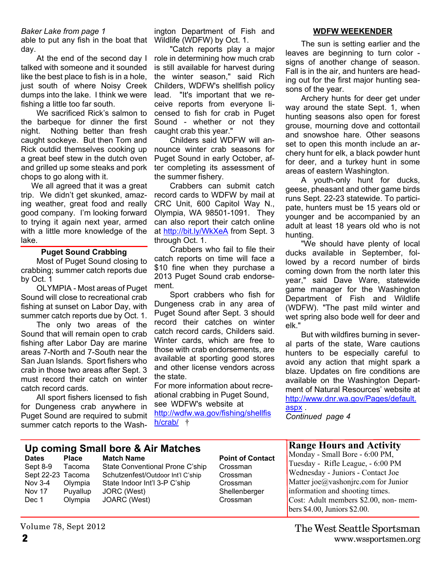## *Baker Lake from page 1*

able to put any fish in the boat that Wildlife (WDFW) by Oct. 1. day.

At the end of the second day I talked with someone and it sounded like the best place to fish is in a hole, just south of where Noisy Creek dumps into the lake. I think we were fishing a little too far south.

We sacrificed Rick's salmon to the barbeque for dinner the first night. Nothing better than fresh caught sockeye. But then Tom and Rick outdid themselves cooking up a great beef stew in the dutch oven and grilled up some steaks and pork chops to go along with it.

We all agreed that it was a great trip. We didn't get skunked, amazing weather, great food and really good company. I'm looking forward to trying it again next year, armed with a little more knowledge of the lake.

## **Puget Sound Crabbing**

Most of Puget Sound closing to crabbing; summer catch reports due by Oct. 1

OLYMPIA - Most areas of Puget Sound will close to recreational crab fishing at sunset on Labor Day, with summer catch reports due by Oct. 1.

The only two areas of the Sound that will remain open to crab fishing after Labor Day are marine areas 7-North and 7-South near the San Juan Islands. Sport fishers who crab in those two areas after Sept. 3 must record their catch on winter catch record cards.

All sport fishers licensed to fish for Dungeness crab anywhere in Puget Sound are required to submit summer catch reports to the Washington Department of Fish and

"Catch reports play a major role in determining how much crab is still available for harvest during the winter season," said Rich Childers, WDFW's shellfish policy lead. "It's important that we receive reports from everyone licensed to fish for crab in Puget Sound - whether or not they caught crab this year."

Childers said WDFW will announce winter crab seasons for Puget Sound in early October, after completing its assessment of the summer fishery.

Crabbers can submit catch record cards to WDFW by mail at CRC Unit, 600 Capitol Way N., Olympia, WA 98501-1091. They can also report their catch online at http://bit.ly/WkXeA from Sept. 3 through Oct. 1.

Crabbers who fail to file their catch reports on time will face a \$10 fine when they purchase a 2013 Puget Sound crab endorsement.

Sport crabbers who fish for Dungeness crab in any area of Puget Sound after Sept. 3 should record their catches on winter catch record cards, Childers said. Winter cards, which are free to those with crab endorsements, are available at sporting good stores and other license vendors across the state.

For more information about recreational crabbing in Puget Sound, see WDFW's website at http://wdfw.wa.gov/fishing/shellfis h/crab/ †

#### **WDFW WEEKENDER**

The sun is setting earlier and the leaves are beginning to turn color signs of another change of season. Fall is in the air, and hunters are heading out for the first major hunting seasons of the year.

Archery hunts for deer get under way around the state Sept. 1, when hunting seasons also open for forest grouse, mourning dove and cottontail and snowshoe hare. Other seasons set to open this month include an archery hunt for elk, a black powder hunt for deer, and a turkey hunt in some areas of eastern Washington.

A youth-only hunt for ducks, geese, pheasant and other game birds runs Sept. 22-23 statewide. To participate, hunters must be 15 years old or younger and be accompanied by an adult at least 18 years old who is not hunting.

"We should have plenty of local ducks available in September, followed by a record number of birds coming down from the north later this year," said Dave Ware, statewide game manager for the Washington Department of Fish and Wildlife (WDFW). "The past mild winter and wet spring also bode well for deer and elk."

But with wildfires burning in several parts of the state, Ware cautions hunters to be especially careful to avoid any action that might spark a blaze. Updates on fire conditions are available on the Washington Department of Natural Resources' website at http://www.dnr.wa.gov/Pages/default. aspx .

*Continued page 4*

## **Up coming Small bore & Air Matches**

**Dates** Place Match Name **Point of Contact** 

Sept 8-9 Tacoma State Conventional Prone C'ship Crossman Sept 22-23 Tacoma Schutzenfest/Outdoor Int'l C'ship Crossman Nov 3-4 Olympia State Indoor Int'l 3-P C'ship Crossman Nov 17 Puyallup JORC (West) Shellenberger Dec 1 Olympia JOARC (West) Crossman

## **Range Hours and Activity**

Monday - Small Bore - 6:00 PM, Tuesday - Rifle League, - 6:00 PM Wednesday - Juniors - Contact Joe Matter joe@vashonjrc.com for Junior information and shooting times. Cost: Adult members \$2.00, non- members \$4.00, Juniors \$2.00.

Volume 78, Sept 2012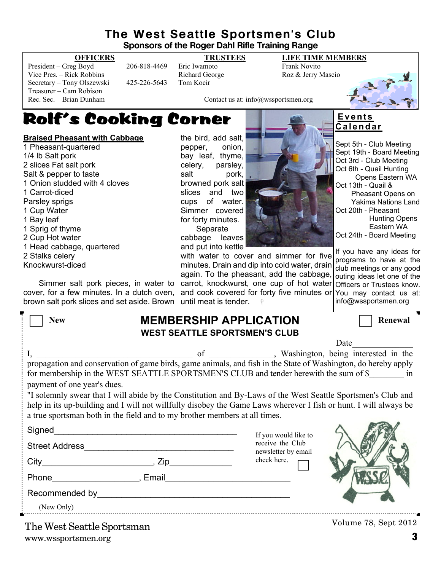## **The West Seattle Sportsmen's Club**

**Sponsors of the Roger Dahl Rifle Training Range**

President – Greg Boyd 206-818-4469 Eric Iwamoto Frank Novito Vice Pres. – Rick Robbins **Richard George** Roz & Jerry Mascio Secretary – Tony Olszewski 425-226-5643 Tom Kocir Treasurer – Cam Robison<br>Rec. Sec. – Brian Dunham

**OFFICERS TRUSTEES LIFE TIME MEMBERS**



Contact us at: info@wssportsmen.org

## Rolf's Cooking Corner

## **Braised Pheasant with Cabbage**

1 Pheasant-quartered 1/4 lb Salt pork 2 slices Fat salt pork Salt & pepper to taste 1 Onion studded with 4 cloves 1 Carrot-diced Parsley sprigs 1 Cup Water 1 Bay leaf 1 Sprig of thyme 2 Cup Hot water 1 Head cabbage, quartered 2 Stalks celery Knockwurst-diced

Simmer salt pork pieces, in water to cover, for a few minutes. In a dutch oven, brown salt pork slices and set aside. Brown until meat is tender. †

the bird, add salt, pepper, onion, bay leaf, thyme, celery, parsley, salt pork, browned pork salt slices and two cups of water. Simmer covered for forty minutes. **Separate** cabbage leaves



with water to cover and simmer for five minutes. Drain and dip into cold water, drain again. To the pheasant, add the cabbage, carrot, knockwurst, one cup of hot water and cook covered for forty five minutes or

## **E v e n t s C a l e n d a r**

Sept 5th - Club Meeting Sept 19th - Board Meeting Oct 3rd - Club Meeting Oct 6th - Quail Hunting Opens Eastern WA Oct 13th - Quail & Pheasant Opens on Yakima Nations Land Oct 20th - Pheasant Hunting Opens Eastern WA Oct 24th - Board Meeting

If you have any ideas for programs to have at the club meetings or any good outing ideas let one of the Officers or Trustees know. You may contact us at: info@wssportsmen.org

| <b>New</b>                                                                                                                                                                                                                                                                                                                                                                                                                                                                                                                                                     |  | <b>MEMBERSHIP APPLICATION</b><br><b>WEST SEATTLE SPORTSMEN'S CLUB</b> | Renewal                                     |  |
|----------------------------------------------------------------------------------------------------------------------------------------------------------------------------------------------------------------------------------------------------------------------------------------------------------------------------------------------------------------------------------------------------------------------------------------------------------------------------------------------------------------------------------------------------------------|--|-----------------------------------------------------------------------|---------------------------------------------|--|
|                                                                                                                                                                                                                                                                                                                                                                                                                                                                                                                                                                |  |                                                                       | Date                                        |  |
| I, propagation and conservation of game birds, game animals, and fish in the State of Washington, do hereby apply<br>for membership in the WEST SEATTLE SPORTSMEN'S CLUB and tender herewith the sum of \$ in<br>payment of one year's dues.<br>"I solemnly swear that I will abide by the Constitution and By-Laws of the West Seattle Sportsmen's Club and<br>help in its up-building and I will not willfully disobey the Game Laws wherever I fish or hunt. I will always be<br>a true sportsman both in the field and to my brother members at all times. |  |                                                                       |                                             |  |
|                                                                                                                                                                                                                                                                                                                                                                                                                                                                                                                                                                |  |                                                                       |                                             |  |
| <b>Street Address</b>                                                                                                                                                                                                                                                                                                                                                                                                                                                                                                                                          |  | receive the Club                                                      | If you would like to<br>newsletter by email |  |
|                                                                                                                                                                                                                                                                                                                                                                                                                                                                                                                                                                |  | check here.                                                           |                                             |  |
| Phone , Email                                                                                                                                                                                                                                                                                                                                                                                                                                                                                                                                                  |  |                                                                       |                                             |  |
| (New Only)                                                                                                                                                                                                                                                                                                                                                                                                                                                                                                                                                     |  |                                                                       |                                             |  |
| The West Seattle Sportsman                                                                                                                                                                                                                                                                                                                                                                                                                                                                                                                                     |  |                                                                       | Volume 78, Sept 2012                        |  |

www.wssportsmen.org **3** The West Seattle Sportsman